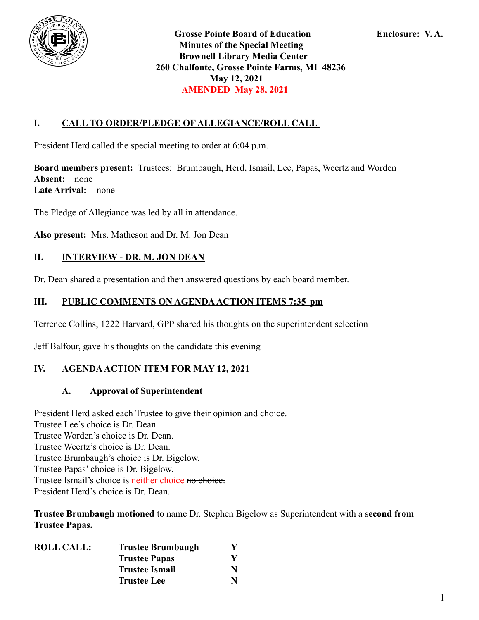

**Grosse Pointe Board of Education Enclosure: V. A. Minutes of the Special Meeting Brownell Library Media Center 260 Chalfonte, Grosse Pointe Farms, MI 48236 May 12, 2021 AMENDED May 28, 2021**

# **I. CALL TO ORDER/PLEDGE OF ALLEGIANCE/ROLL CALL**

President Herd called the special meeting to order at 6:04 p.m.

**Board members present:** Trustees: Brumbaugh, Herd, Ismail, Lee, Papas, Weertz and Worden **Absent:** none **Late Arrival:** none

The Pledge of Allegiance was led by all in attendance.

**Also present:** Mrs. Matheson and Dr. M. Jon Dean

# **II. INTERVIEW - DR. M. JON DEAN**

Dr. Dean shared a presentation and then answered questions by each board member.

# **III. PUBLIC COMMENTS ON AGENDAACTION ITEMS 7:35 pm**

Terrence Collins, 1222 Harvard, GPP shared his thoughts on the superintendent selection

Jeff Balfour, gave his thoughts on the candidate this evening

# **IV. AGENDAACTION ITEM FOR MAY 12, 2021**

#### **A. Approval of Superintendent**

President Herd asked each Trustee to give their opinion and choice. Trustee Lee's choice is Dr. Dean. Trustee Worden's choice is Dr. Dean. Trustee Weertz's choice is Dr. Dean. Trustee Brumbaugh's choice is Dr. Bigelow. Trustee Papas' choice is Dr. Bigelow. Trustee Ismail's choice is neither choice no choice. President Herd's choice is Dr. Dean.

**Trustee Brumbaugh motioned** to name Dr. Stephen Bigelow as Superintendent with a s**econd from Trustee Papas.**

| <b>ROLL CALL:</b> | <b>Trustee Brumbaugh</b> |   |
|-------------------|--------------------------|---|
|                   | <b>Trustee Papas</b>     |   |
|                   | <b>Trustee Ismail</b>    | N |
|                   | <b>Trustee Lee</b>       |   |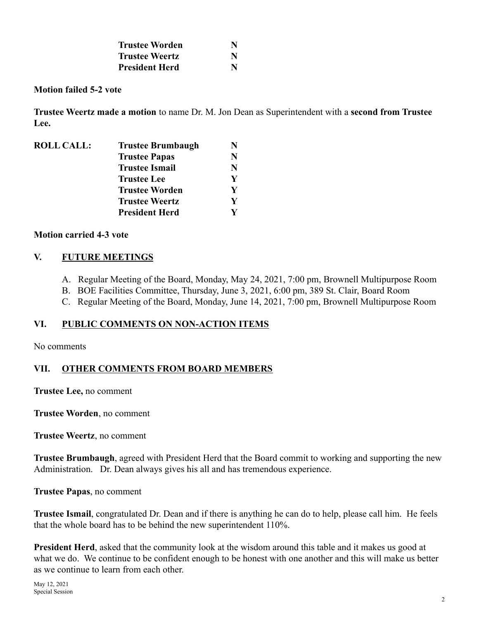| <b>Trustee Worden</b> | N |
|-----------------------|---|
| <b>Trustee Weertz</b> | N |
| <b>President Herd</b> | N |

#### **Motion failed 5-2 vote**

**Trustee Weertz made a motion** to name Dr. M. Jon Dean as Superintendent with a **second from Trustee Lee.**

| <b>ROLL CALL:</b> | <b>Trustee Brumbaugh</b> |   |
|-------------------|--------------------------|---|
|                   | <b>Trustee Papas</b>     | N |
|                   | <b>Trustee Ismail</b>    | N |
|                   | <b>Trustee Lee</b>       | V |
|                   | <b>Trustee Worden</b>    | V |
|                   | <b>Trustee Weertz</b>    | V |
|                   | <b>President Herd</b>    |   |

#### **Motion carried 4-3 vote**

#### **V. FUTURE MEETINGS**

- A. Regular Meeting of the Board, Monday, May 24, 2021, 7:00 pm, Brownell Multipurpose Room
- B. BOE Facilities Committee, Thursday, June 3, 2021, 6:00 pm, 389 St. Clair, Board Room
- C. Regular Meeting of the Board, Monday, June 14, 2021, 7:00 pm, Brownell Multipurpose Room

# **VI. PUBLIC COMMENTS ON NON-ACTION ITEMS**

No comments

# **VII. OTHER COMMENTS FROM BOARD MEMBERS**

**Trustee Lee,** no comment

**Trustee Worden**, no comment

**Trustee Weertz**, no comment

**Trustee Brumbaugh**, agreed with President Herd that the Board commit to working and supporting the new Administration. Dr. Dean always gives his all and has tremendous experience.

**Trustee Papas**, no comment

**Trustee Ismail**, congratulated Dr. Dean and if there is anything he can do to help, please call him. He feels that the whole board has to be behind the new superintendent 110%.

**President Herd**, asked that the community look at the wisdom around this table and it makes us good at what we do. We continue to be confident enough to be honest with one another and this will make us better as we continue to learn from each other.